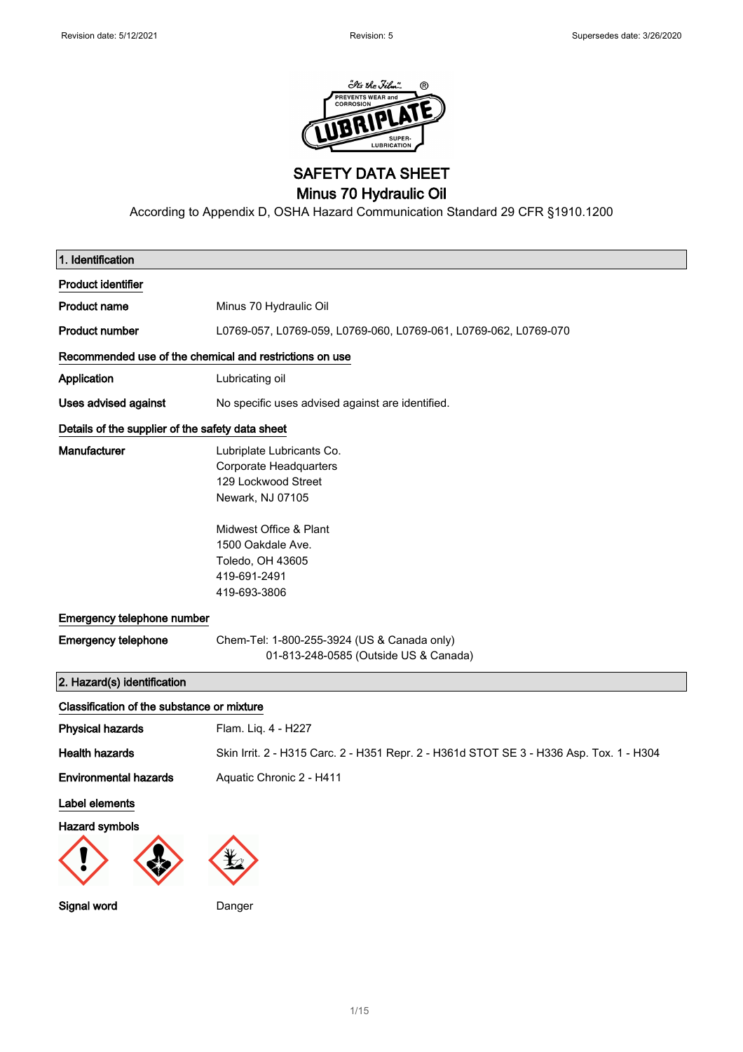

SAFETY DATA SHEET

Minus 70 Hydraulic Oil

According to Appendix D, OSHA Hazard Communication Standard 29 CFR §1910.1200

| 1. Identification                                       |                                                                                                                                                                                                          |
|---------------------------------------------------------|----------------------------------------------------------------------------------------------------------------------------------------------------------------------------------------------------------|
| <b>Product identifier</b>                               |                                                                                                                                                                                                          |
| <b>Product name</b>                                     | Minus 70 Hydraulic Oil                                                                                                                                                                                   |
| <b>Product number</b>                                   | L0769-057, L0769-059, L0769-060, L0769-061, L0769-062, L0769-070                                                                                                                                         |
| Recommended use of the chemical and restrictions on use |                                                                                                                                                                                                          |
| Application                                             | Lubricating oil                                                                                                                                                                                          |
| Uses advised against                                    | No specific uses advised against are identified.                                                                                                                                                         |
| Details of the supplier of the safety data sheet        |                                                                                                                                                                                                          |
| Manufacturer                                            | Lubriplate Lubricants Co.<br><b>Corporate Headquarters</b><br>129 Lockwood Street<br>Newark, NJ 07105<br>Midwest Office & Plant<br>1500 Oakdale Ave.<br>Toledo, OH 43605<br>419-691-2491<br>419-693-3806 |
| Emergency telephone number                              |                                                                                                                                                                                                          |
| <b>Emergency telephone</b>                              | Chem-Tel: 1-800-255-3924 (US & Canada only)<br>01-813-248-0585 (Outside US & Canada)                                                                                                                     |
| 2. Hazard(s) identification                             |                                                                                                                                                                                                          |
| Classification of the substance or mixture              |                                                                                                                                                                                                          |
| <b>Physical hazards</b>                                 | Flam. Liq. 4 - H227                                                                                                                                                                                      |
| <b>Health hazards</b>                                   | Skin Irrit. 2 - H315 Carc. 2 - H351 Repr. 2 - H361d STOT SE 3 - H336 Asp. Tox. 1 - H304                                                                                                                  |
| <b>Environmental hazards</b>                            | Aquatic Chronic 2 - H411                                                                                                                                                                                 |
| Label elements                                          |                                                                                                                                                                                                          |
| <b>Hazard symbols</b>                                   |                                                                                                                                                                                                          |
|                                                         |                                                                                                                                                                                                          |
| Signal word                                             | Danger                                                                                                                                                                                                   |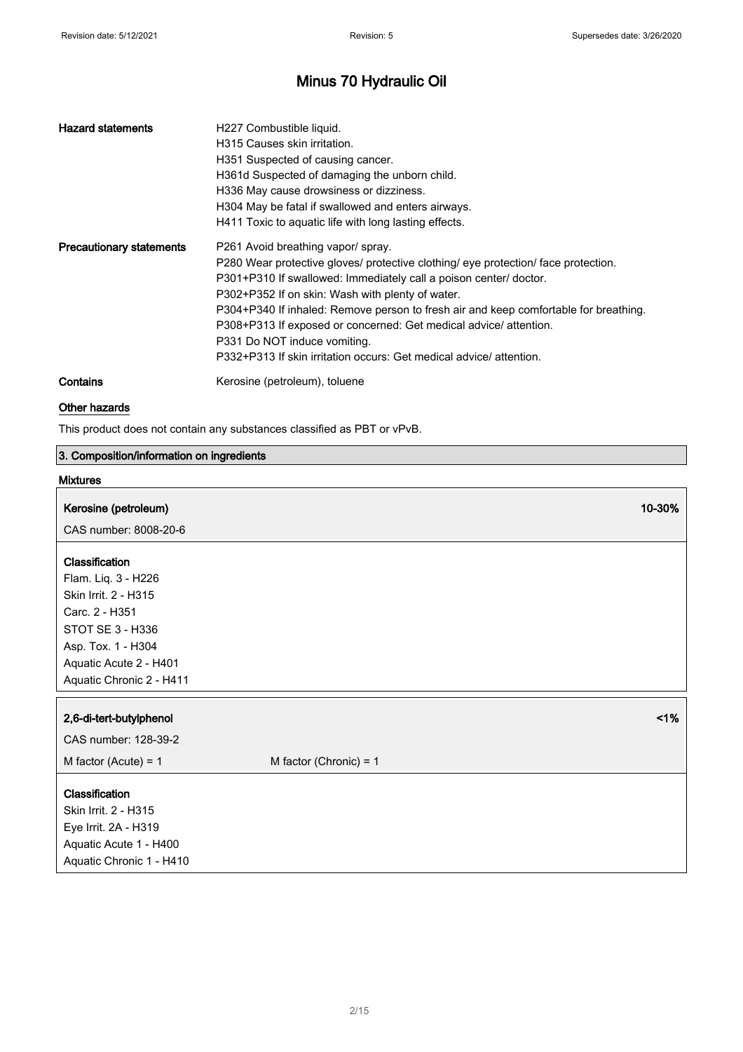| <b>Hazard statements</b>        | H227 Combustible liquid.<br>H315 Causes skin irritation.<br>H351 Suspected of causing cancer.<br>H361d Suspected of damaging the unborn child.<br>H336 May cause drowsiness or dizziness.<br>H304 May be fatal if swallowed and enters airways.<br>H411 Toxic to aguatic life with long lasting effects.                                                                                                                                                                                                              |
|---------------------------------|-----------------------------------------------------------------------------------------------------------------------------------------------------------------------------------------------------------------------------------------------------------------------------------------------------------------------------------------------------------------------------------------------------------------------------------------------------------------------------------------------------------------------|
| <b>Precautionary statements</b> | P261 Avoid breathing vapor/ spray.<br>P280 Wear protective gloves/ protective clothing/ eye protection/ face protection.<br>P301+P310 If swallowed: Immediately call a poison center/ doctor.<br>P302+P352 If on skin: Wash with plenty of water.<br>P304+P340 If inhaled: Remove person to fresh air and keep comfortable for breathing.<br>P308+P313 If exposed or concerned: Get medical advice/ attention.<br>P331 Do NOT induce vomiting.<br>P332+P313 If skin irritation occurs: Get medical advice/ attention. |
| Contains                        | Kerosine (petroleum), toluene                                                                                                                                                                                                                                                                                                                                                                                                                                                                                         |

### Other hazards

This product does not contain any substances classified as PBT or vPvB.

### 3. Composition/information on ingredients

### Mixtures

| Kerosine (petroleum) | 10-30% |
|----------------------|--------|
|----------------------|--------|

CAS number: 8008-20-6

### Classification

Flam. Liq. 3 - H226 Skin Irrit. 2 - H315 Carc. 2 - H351 STOT SE 3 - H336 Asp. Tox. 1 - H304 Aquatic Acute 2 - H401 Aquatic Chronic 2 - H411

| <b>Ayualio</b> Official 2 First Li |                          |
|------------------------------------|--------------------------|
|                                    |                          |
| 2,6-di-tert-butylphenol            | $1\%$                    |
| CAS number: 128-39-2               |                          |
| M factor (Acute) = $1$             | M factor (Chronic) = $1$ |
|                                    |                          |
| Classification                     |                          |
| Skin Irrit. 2 - H315               |                          |
| Eye Irrit. 2A - H319               |                          |
| Aquatic Acute 1 - H400             |                          |
| Aquatic Chronic 1 - H410           |                          |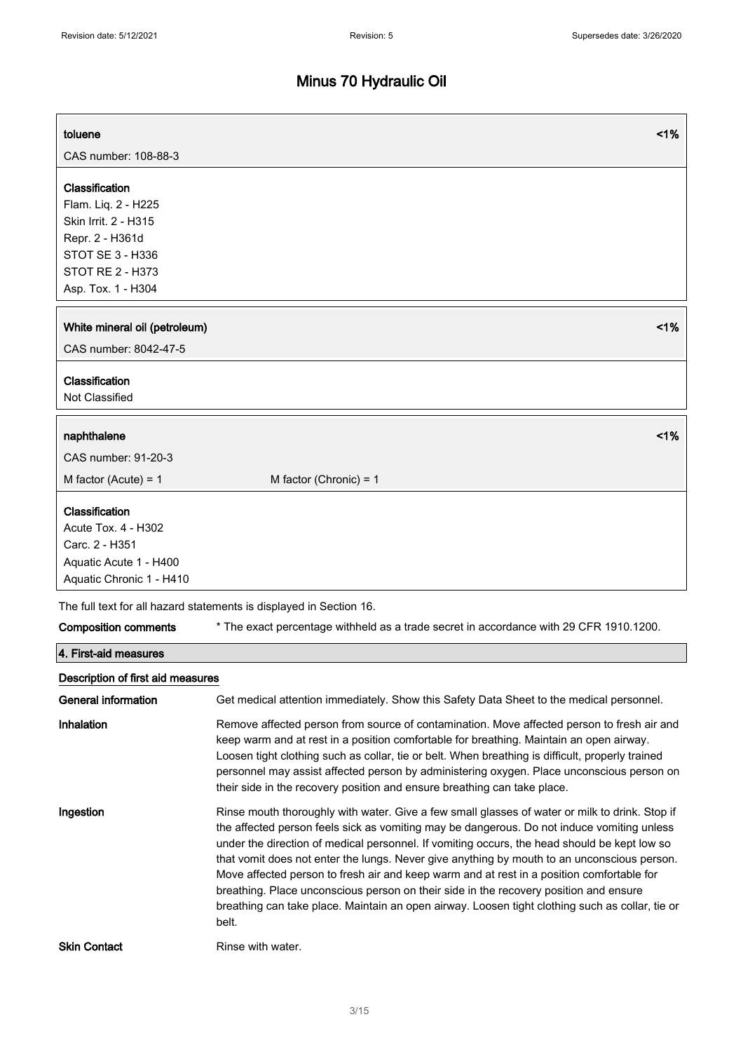| toluene                                                                                                                                        | 1%                                                                                                                                                                                                                                                                                                                                                                                                                                                                                                                                                                                                                                                                                            |
|------------------------------------------------------------------------------------------------------------------------------------------------|-----------------------------------------------------------------------------------------------------------------------------------------------------------------------------------------------------------------------------------------------------------------------------------------------------------------------------------------------------------------------------------------------------------------------------------------------------------------------------------------------------------------------------------------------------------------------------------------------------------------------------------------------------------------------------------------------|
| CAS number: 108-88-3                                                                                                                           |                                                                                                                                                                                                                                                                                                                                                                                                                                                                                                                                                                                                                                                                                               |
| Classification<br>Flam. Lig. 2 - H225<br>Skin Irrit. 2 - H315<br>Repr. 2 - H361d<br>STOT SE 3 - H336<br>STOT RE 2 - H373<br>Asp. Tox. 1 - H304 |                                                                                                                                                                                                                                                                                                                                                                                                                                                                                                                                                                                                                                                                                               |
| White mineral oil (petroleum)                                                                                                                  | 1%                                                                                                                                                                                                                                                                                                                                                                                                                                                                                                                                                                                                                                                                                            |
| CAS number: 8042-47-5                                                                                                                          |                                                                                                                                                                                                                                                                                                                                                                                                                                                                                                                                                                                                                                                                                               |
| Classification<br>Not Classified                                                                                                               |                                                                                                                                                                                                                                                                                                                                                                                                                                                                                                                                                                                                                                                                                               |
| naphthalene                                                                                                                                    | 1%                                                                                                                                                                                                                                                                                                                                                                                                                                                                                                                                                                                                                                                                                            |
| CAS number: 91-20-3                                                                                                                            |                                                                                                                                                                                                                                                                                                                                                                                                                                                                                                                                                                                                                                                                                               |
| M factor (Acute) = $1$                                                                                                                         | M factor (Chronic) = $1$                                                                                                                                                                                                                                                                                                                                                                                                                                                                                                                                                                                                                                                                      |
| Classification<br>Acute Tox. 4 - H302<br>Carc. 2 - H351<br>Aquatic Acute 1 - H400<br>Aquatic Chronic 1 - H410                                  |                                                                                                                                                                                                                                                                                                                                                                                                                                                                                                                                                                                                                                                                                               |
|                                                                                                                                                | The full text for all hazard statements is displayed in Section 16.                                                                                                                                                                                                                                                                                                                                                                                                                                                                                                                                                                                                                           |
| <b>Composition comments</b>                                                                                                                    | * The exact percentage withheld as a trade secret in accordance with 29 CFR 1910.1200.                                                                                                                                                                                                                                                                                                                                                                                                                                                                                                                                                                                                        |
| 4. First-aid measures                                                                                                                          |                                                                                                                                                                                                                                                                                                                                                                                                                                                                                                                                                                                                                                                                                               |
| Description of first aid measures                                                                                                              |                                                                                                                                                                                                                                                                                                                                                                                                                                                                                                                                                                                                                                                                                               |
| General information                                                                                                                            | Get medical attention immediately. Show this Safety Data Sheet to the medical personnel.                                                                                                                                                                                                                                                                                                                                                                                                                                                                                                                                                                                                      |
| Inhalation                                                                                                                                     | Remove affected person from source of contamination. Move affected person to fresh air and<br>keep warm and at rest in a position comfortable for breathing. Maintain an open airway.<br>Loosen tight clothing such as collar, tie or belt. When breathing is difficult, properly trained<br>personnel may assist affected person by administering oxygen. Place unconscious person on<br>their side in the recovery position and ensure breathing can take place.                                                                                                                                                                                                                            |
| Ingestion                                                                                                                                      | Rinse mouth thoroughly with water. Give a few small glasses of water or milk to drink. Stop if<br>the affected person feels sick as vomiting may be dangerous. Do not induce vomiting unless<br>under the direction of medical personnel. If vomiting occurs, the head should be kept low so<br>that vomit does not enter the lungs. Never give anything by mouth to an unconscious person.<br>Move affected person to fresh air and keep warm and at rest in a position comfortable for<br>breathing. Place unconscious person on their side in the recovery position and ensure<br>breathing can take place. Maintain an open airway. Loosen tight clothing such as collar, tie or<br>belt. |
| <b>Skin Contact</b>                                                                                                                            | Rinse with water.                                                                                                                                                                                                                                                                                                                                                                                                                                                                                                                                                                                                                                                                             |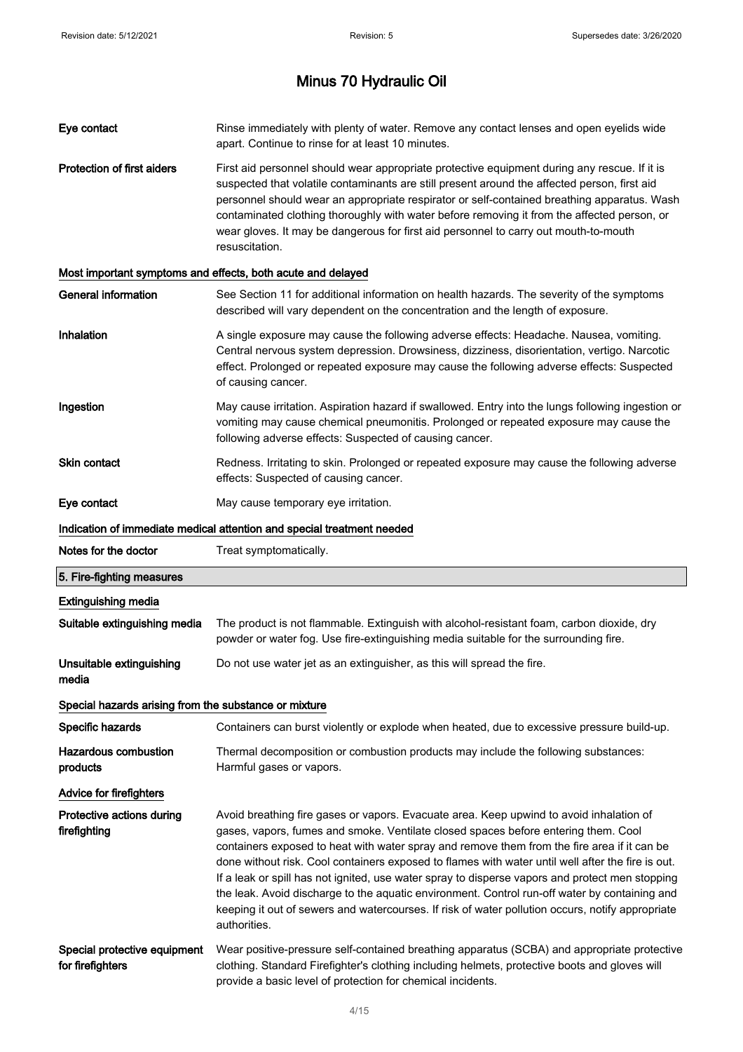| Eye contact                                           | Rinse immediately with plenty of water. Remove any contact lenses and open eyelids wide<br>apart. Continue to rinse for at least 10 minutes.                                                                                                                                                                                                                                                                                                                                                                                                                                                                                                                                                              |
|-------------------------------------------------------|-----------------------------------------------------------------------------------------------------------------------------------------------------------------------------------------------------------------------------------------------------------------------------------------------------------------------------------------------------------------------------------------------------------------------------------------------------------------------------------------------------------------------------------------------------------------------------------------------------------------------------------------------------------------------------------------------------------|
| <b>Protection of first aiders</b>                     | First aid personnel should wear appropriate protective equipment during any rescue. If it is<br>suspected that volatile contaminants are still present around the affected person, first aid<br>personnel should wear an appropriate respirator or self-contained breathing apparatus. Wash<br>contaminated clothing thoroughly with water before removing it from the affected person, or<br>wear gloves. It may be dangerous for first aid personnel to carry out mouth-to-mouth<br>resuscitation.                                                                                                                                                                                                      |
|                                                       | Most important symptoms and effects, both acute and delayed                                                                                                                                                                                                                                                                                                                                                                                                                                                                                                                                                                                                                                               |
| <b>General information</b>                            | See Section 11 for additional information on health hazards. The severity of the symptoms<br>described will vary dependent on the concentration and the length of exposure.                                                                                                                                                                                                                                                                                                                                                                                                                                                                                                                               |
| Inhalation                                            | A single exposure may cause the following adverse effects: Headache. Nausea, vomiting.<br>Central nervous system depression. Drowsiness, dizziness, disorientation, vertigo. Narcotic<br>effect. Prolonged or repeated exposure may cause the following adverse effects: Suspected<br>of causing cancer.                                                                                                                                                                                                                                                                                                                                                                                                  |
| Ingestion                                             | May cause irritation. Aspiration hazard if swallowed. Entry into the lungs following ingestion or<br>vomiting may cause chemical pneumonitis. Prolonged or repeated exposure may cause the<br>following adverse effects: Suspected of causing cancer.                                                                                                                                                                                                                                                                                                                                                                                                                                                     |
| <b>Skin contact</b>                                   | Redness. Irritating to skin. Prolonged or repeated exposure may cause the following adverse<br>effects: Suspected of causing cancer.                                                                                                                                                                                                                                                                                                                                                                                                                                                                                                                                                                      |
| Eye contact                                           | May cause temporary eye irritation.                                                                                                                                                                                                                                                                                                                                                                                                                                                                                                                                                                                                                                                                       |
|                                                       | Indication of immediate medical attention and special treatment needed                                                                                                                                                                                                                                                                                                                                                                                                                                                                                                                                                                                                                                    |
| Notes for the doctor                                  | Treat symptomatically.                                                                                                                                                                                                                                                                                                                                                                                                                                                                                                                                                                                                                                                                                    |
|                                                       |                                                                                                                                                                                                                                                                                                                                                                                                                                                                                                                                                                                                                                                                                                           |
| 5. Fire-fighting measures                             |                                                                                                                                                                                                                                                                                                                                                                                                                                                                                                                                                                                                                                                                                                           |
| <b>Extinguishing media</b>                            |                                                                                                                                                                                                                                                                                                                                                                                                                                                                                                                                                                                                                                                                                                           |
| Suitable extinguishing media                          | The product is not flammable. Extinguish with alcohol-resistant foam, carbon dioxide, dry<br>powder or water fog. Use fire-extinguishing media suitable for the surrounding fire.                                                                                                                                                                                                                                                                                                                                                                                                                                                                                                                         |
| Unsuitable extinguishing<br>media                     | Do not use water jet as an extinguisher, as this will spread the fire.                                                                                                                                                                                                                                                                                                                                                                                                                                                                                                                                                                                                                                    |
| Special hazards arising from the substance or mixture |                                                                                                                                                                                                                                                                                                                                                                                                                                                                                                                                                                                                                                                                                                           |
| Specific hazards                                      | Containers can burst violently or explode when heated, due to excessive pressure build-up.                                                                                                                                                                                                                                                                                                                                                                                                                                                                                                                                                                                                                |
| <b>Hazardous combustion</b><br>products               | Thermal decomposition or combustion products may include the following substances:<br>Harmful gases or vapors.                                                                                                                                                                                                                                                                                                                                                                                                                                                                                                                                                                                            |
| <b>Advice for firefighters</b>                        |                                                                                                                                                                                                                                                                                                                                                                                                                                                                                                                                                                                                                                                                                                           |
| Protective actions during<br>firefighting             | Avoid breathing fire gases or vapors. Evacuate area. Keep upwind to avoid inhalation of<br>gases, vapors, fumes and smoke. Ventilate closed spaces before entering them. Cool<br>containers exposed to heat with water spray and remove them from the fire area if it can be<br>done without risk. Cool containers exposed to flames with water until well after the fire is out.<br>If a leak or spill has not ignited, use water spray to disperse vapors and protect men stopping<br>the leak. Avoid discharge to the aquatic environment. Control run-off water by containing and<br>keeping it out of sewers and watercourses. If risk of water pollution occurs, notify appropriate<br>authorities. |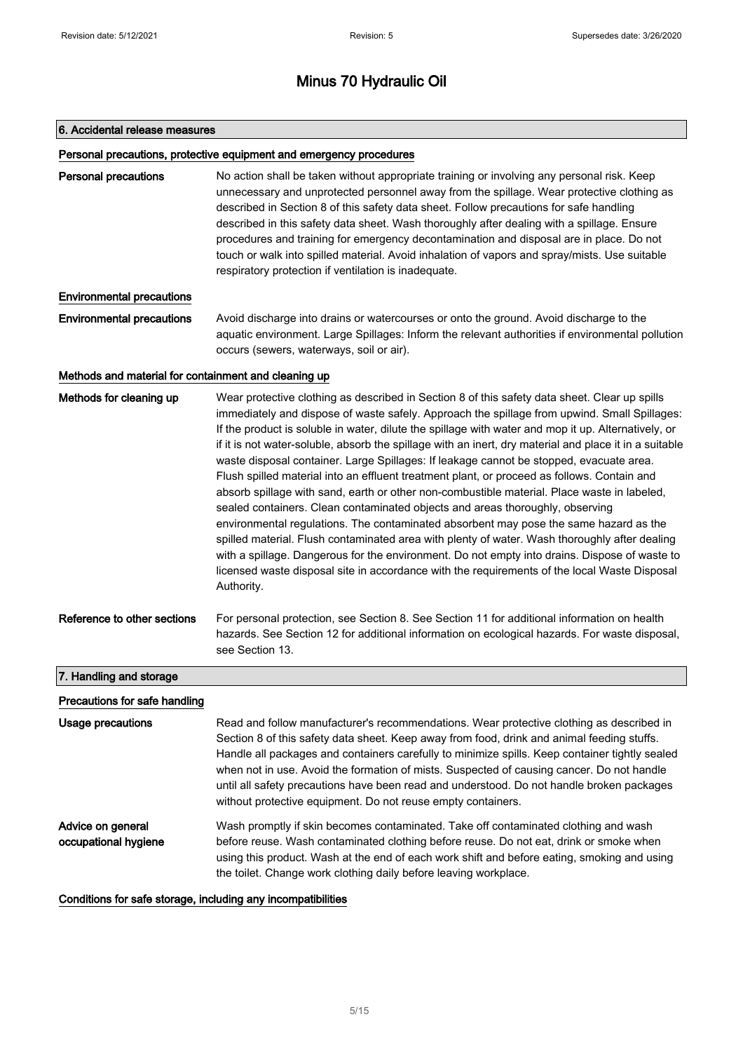### 6. Accidental release measures

#### Personal precautions, protective equipment and emergency procedures

Personal precautions No action shall be taken without appropriate training or involving any personal risk. Keep unnecessary and unprotected personnel away from the spillage. Wear protective clothing as described in Section 8 of this safety data sheet. Follow precautions for safe handling described in this safety data sheet. Wash thoroughly after dealing with a spillage. Ensure procedures and training for emergency decontamination and disposal are in place. Do not touch or walk into spilled material. Avoid inhalation of vapors and spray/mists. Use suitable respiratory protection if ventilation is inadequate.

### Environmental precautions

**Environmental precautions** Avoid discharge into drains or watercourses or onto the ground. Avoid discharge to the aquatic environment. Large Spillages: Inform the relevant authorities if environmental pollution occurs (sewers, waterways, soil or air).

### Methods and material for containment and cleaning up

| Methods for cleaning up       | Wear protective clothing as described in Section 8 of this safety data sheet. Clear up spills<br>immediately and dispose of waste safely. Approach the spillage from upwind. Small Spillages:<br>If the product is soluble in water, dilute the spillage with water and mop it up. Alternatively, or<br>if it is not water-soluble, absorb the spillage with an inert, dry material and place it in a suitable<br>waste disposal container. Large Spillages: If leakage cannot be stopped, evacuate area.<br>Flush spilled material into an effluent treatment plant, or proceed as follows. Contain and<br>absorb spillage with sand, earth or other non-combustible material. Place waste in labeled,<br>sealed containers. Clean contaminated objects and areas thoroughly, observing<br>environmental regulations. The contaminated absorbent may pose the same hazard as the<br>spilled material. Flush contaminated area with plenty of water. Wash thoroughly after dealing<br>with a spillage. Dangerous for the environment. Do not empty into drains. Dispose of waste to<br>licensed waste disposal site in accordance with the requirements of the local Waste Disposal<br>Authority. |
|-------------------------------|---------------------------------------------------------------------------------------------------------------------------------------------------------------------------------------------------------------------------------------------------------------------------------------------------------------------------------------------------------------------------------------------------------------------------------------------------------------------------------------------------------------------------------------------------------------------------------------------------------------------------------------------------------------------------------------------------------------------------------------------------------------------------------------------------------------------------------------------------------------------------------------------------------------------------------------------------------------------------------------------------------------------------------------------------------------------------------------------------------------------------------------------------------------------------------------------------|
| Reference to other sections   | For personal protection, see Section 8. See Section 11 for additional information on health<br>hazards. See Section 12 for additional information on ecological hazards. For waste disposal,<br>see Section 13.                                                                                                                                                                                                                                                                                                                                                                                                                                                                                                                                                                                                                                                                                                                                                                                                                                                                                                                                                                                   |
| 7. Handling and storage       |                                                                                                                                                                                                                                                                                                                                                                                                                                                                                                                                                                                                                                                                                                                                                                                                                                                                                                                                                                                                                                                                                                                                                                                                   |
| Precautions for safe handling |                                                                                                                                                                                                                                                                                                                                                                                                                                                                                                                                                                                                                                                                                                                                                                                                                                                                                                                                                                                                                                                                                                                                                                                                   |
| Usage precautions             | Read and follow manufacturer's recommendations. Wear protective clothing as described in<br>Section 8 of this safety data sheet. Keep away from food, drink and animal feeding stuffs.<br>Handle all packages and containers carefully to minimize spills. Keep container tightly sealed<br>when not in use. Avoid the formation of mists. Suspected of causing cancer. Do not handle<br>until all safety precautions have been read and understood. Do not handle broken packages<br>without protective equipment. Do not reuse empty containers.                                                                                                                                                                                                                                                                                                                                                                                                                                                                                                                                                                                                                                                |

Advice on general occupational hygiene Wash promptly if skin becomes contaminated. Take off contaminated clothing and wash before reuse. Wash contaminated clothing before reuse. Do not eat, drink or smoke when using this product. Wash at the end of each work shift and before eating, smoking and using the toilet. Change work clothing daily before leaving workplace.

Conditions for safe storage, including any incompatibilities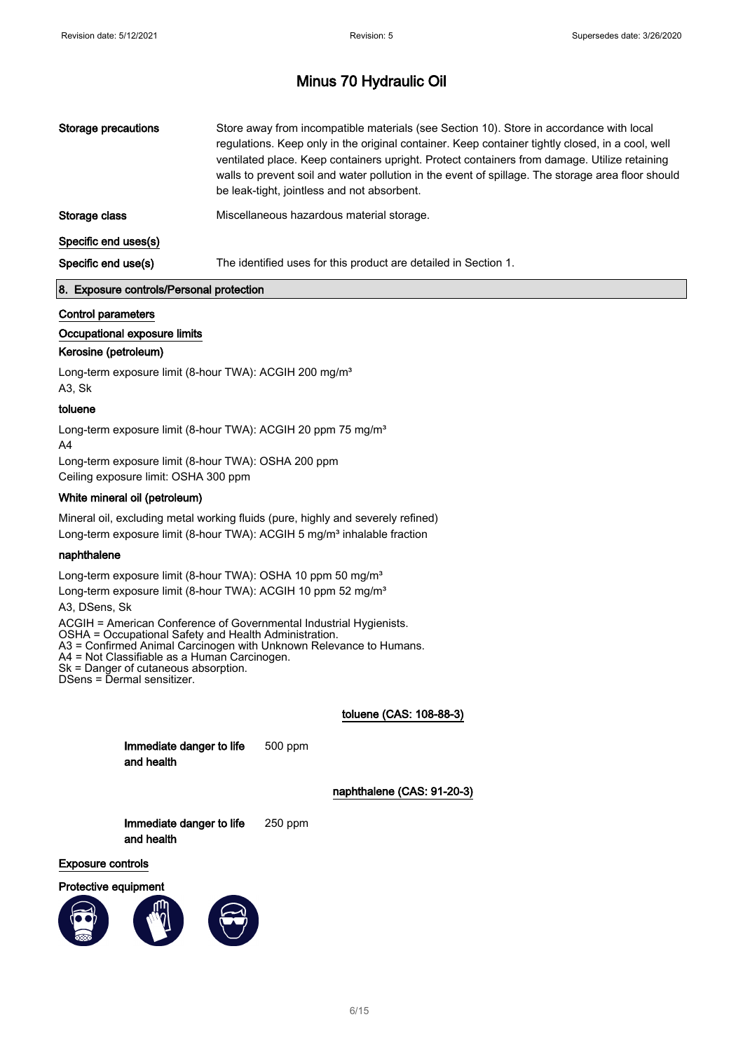| be leak-tight, jointless and not absorbent.                                            | Storage precautions | Store away from incompatible materials (see Section 10). Store in accordance with local<br>regulations. Keep only in the original container. Keep container tightly closed, in a cool, well<br>ventilated place. Keep containers upright. Protect containers from damage. Utilize retaining<br>walls to prevent soil and water pollution in the event of spillage. The storage area floor should |
|----------------------------------------------------------------------------------------|---------------------|--------------------------------------------------------------------------------------------------------------------------------------------------------------------------------------------------------------------------------------------------------------------------------------------------------------------------------------------------------------------------------------------------|
| Miscellaneous hazardous material storage.<br>Storage class                             |                     |                                                                                                                                                                                                                                                                                                                                                                                                  |
| Specific end uses(s)                                                                   |                     |                                                                                                                                                                                                                                                                                                                                                                                                  |
| The identified uses for this product are detailed in Section 1.<br>Specific end use(s) |                     |                                                                                                                                                                                                                                                                                                                                                                                                  |

### 8. Exposure controls/Personal protection

### Control parameters

### Occupational exposure limits

### Kerosine (petroleum)

Long-term exposure limit (8-hour TWA): ACGIH 200 mg/m<sup>3</sup> A3, Sk

### toluene

Long-term exposure limit (8-hour TWA): ACGIH 20 ppm 75 mg/m<sup>3</sup> A4

Long-term exposure limit (8-hour TWA): OSHA 200 ppm Ceiling exposure limit: OSHA 300 ppm

### White mineral oil (petroleum)

Mineral oil, excluding metal working fluids (pure, highly and severely refined) Long-term exposure limit (8-hour TWA): ACGIH 5 mg/m<sup>3</sup> inhalable fraction

### naphthalene

Long-term exposure limit (8-hour TWA): OSHA 10 ppm 50 mg/m<sup>3</sup> Long-term exposure limit (8-hour TWA): ACGIH 10 ppm 52 mg/m<sup>3</sup>

A3, DSens, Sk

ACGIH = American Conference of Governmental Industrial Hygienists. OSHA = Occupational Safety and Health Administration. A3 = Confirmed Animal Carcinogen with Unknown Relevance to Humans. A4 = Not Classifiable as a Human Carcinogen.

Sk = Danger of cutaneous absorption.

DSens = Dermal sensitizer.

### toluene (CAS: 108-88-3)

| Immediate danger to life | 500 ppm |
|--------------------------|---------|
| and health               |         |

naphthalene (CAS: 91-20-3)

| Immediate danger to life | $250$ ppm |
|--------------------------|-----------|
| and health               |           |

Exposure controls



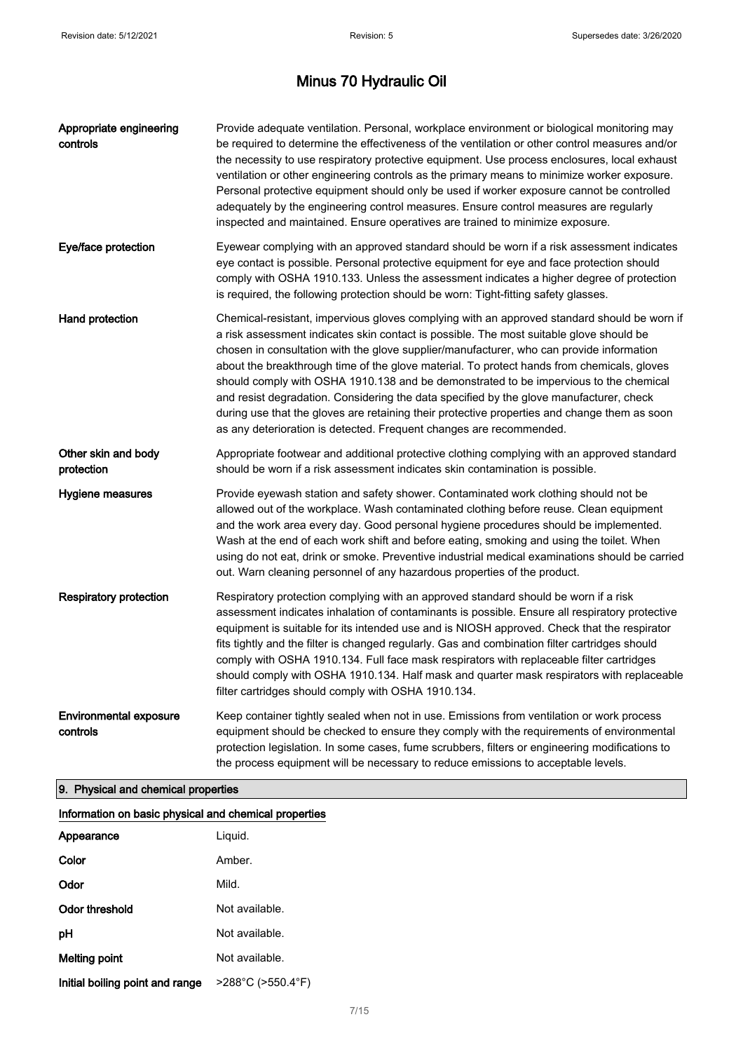| Appropriate engineering<br>controls       | Provide adequate ventilation. Personal, workplace environment or biological monitoring may<br>be required to determine the effectiveness of the ventilation or other control measures and/or<br>the necessity to use respiratory protective equipment. Use process enclosures, local exhaust<br>ventilation or other engineering controls as the primary means to minimize worker exposure.<br>Personal protective equipment should only be used if worker exposure cannot be controlled<br>adequately by the engineering control measures. Ensure control measures are regularly<br>inspected and maintained. Ensure operatives are trained to minimize exposure.                                                                          |
|-------------------------------------------|---------------------------------------------------------------------------------------------------------------------------------------------------------------------------------------------------------------------------------------------------------------------------------------------------------------------------------------------------------------------------------------------------------------------------------------------------------------------------------------------------------------------------------------------------------------------------------------------------------------------------------------------------------------------------------------------------------------------------------------------|
| Eye/face protection                       | Eyewear complying with an approved standard should be worn if a risk assessment indicates<br>eye contact is possible. Personal protective equipment for eye and face protection should<br>comply with OSHA 1910.133. Unless the assessment indicates a higher degree of protection<br>is required, the following protection should be worn: Tight-fitting safety glasses.                                                                                                                                                                                                                                                                                                                                                                   |
| Hand protection                           | Chemical-resistant, impervious gloves complying with an approved standard should be worn if<br>a risk assessment indicates skin contact is possible. The most suitable glove should be<br>chosen in consultation with the glove supplier/manufacturer, who can provide information<br>about the breakthrough time of the glove material. To protect hands from chemicals, gloves<br>should comply with OSHA 1910.138 and be demonstrated to be impervious to the chemical<br>and resist degradation. Considering the data specified by the glove manufacturer, check<br>during use that the gloves are retaining their protective properties and change them as soon<br>as any deterioration is detected. Frequent changes are recommended. |
| Other skin and body<br>protection         | Appropriate footwear and additional protective clothing complying with an approved standard<br>should be worn if a risk assessment indicates skin contamination is possible.                                                                                                                                                                                                                                                                                                                                                                                                                                                                                                                                                                |
| Hygiene measures                          | Provide eyewash station and safety shower. Contaminated work clothing should not be<br>allowed out of the workplace. Wash contaminated clothing before reuse. Clean equipment<br>and the work area every day. Good personal hygiene procedures should be implemented.<br>Wash at the end of each work shift and before eating, smoking and using the toilet. When<br>using do not eat, drink or smoke. Preventive industrial medical examinations should be carried<br>out. Warn cleaning personnel of any hazardous properties of the product.                                                                                                                                                                                             |
| <b>Respiratory protection</b>             | Respiratory protection complying with an approved standard should be worn if a risk<br>assessment indicates inhalation of contaminants is possible. Ensure all respiratory protective<br>equipment is suitable for its intended use and is NIOSH approved. Check that the respirator<br>fits tightly and the filter is changed regularly. Gas and combination filter cartridges should<br>comply with OSHA 1910.134. Full face mask respirators with replaceable filter cartridges<br>should comply with OSHA 1910.134. Half mask and quarter mask respirators with replaceable<br>filter cartridges should comply with OSHA 1910.134.                                                                                                      |
| <b>Environmental exposure</b><br>controls | Keep container tightly sealed when not in use. Emissions from ventilation or work process<br>equipment should be checked to ensure they comply with the requirements of environmental<br>protection legislation. In some cases, fume scrubbers, filters or engineering modifications to<br>the process equipment will be necessary to reduce emissions to acceptable levels.                                                                                                                                                                                                                                                                                                                                                                |

# 9. Physical and chemical properties

| Information on basic physical and chemical properties |                                        |  |
|-------------------------------------------------------|----------------------------------------|--|
| Appearance                                            | Liguid.                                |  |
| Color                                                 | Amber.                                 |  |
| Odor                                                  | Mild.                                  |  |
| Odor threshold                                        | Not available.                         |  |
| рH                                                    | Not available.                         |  |
| Melting point                                         | Not available.                         |  |
| Initial boiling point and range                       | $>288^{\circ}$ C ( $>550.4^{\circ}$ F) |  |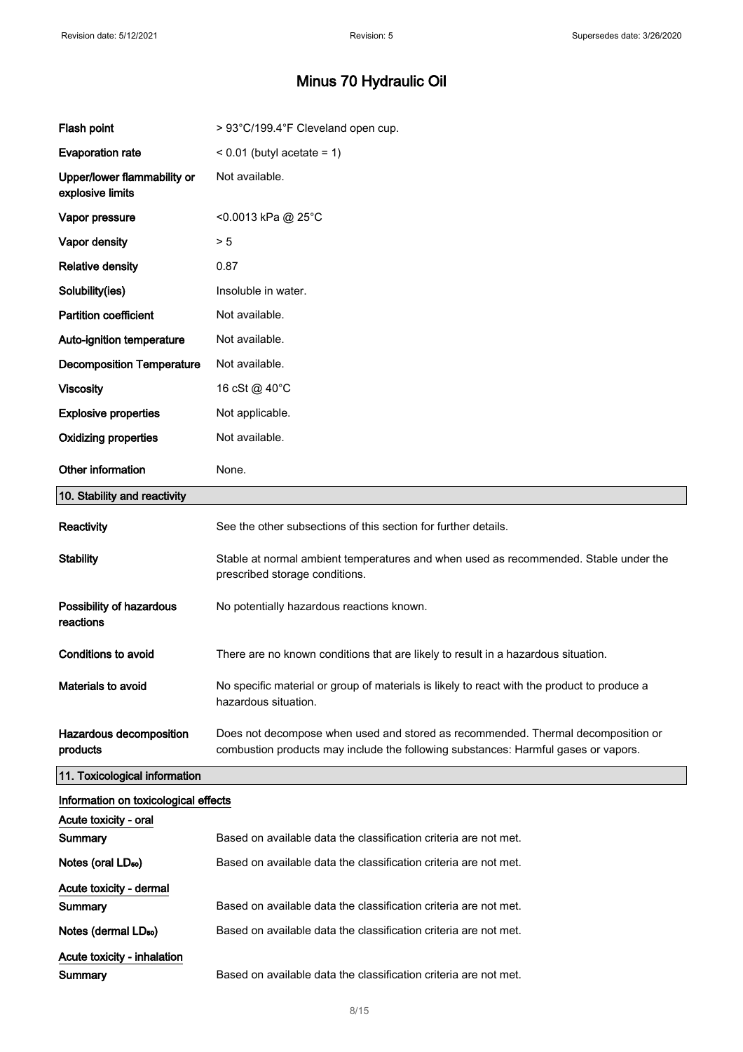| Flash point                                     | > 93°C/199.4°F Cleveland open cup.                                                                                                                                     |
|-------------------------------------------------|------------------------------------------------------------------------------------------------------------------------------------------------------------------------|
| <b>Evaporation rate</b>                         | $< 0.01$ (butyl acetate = 1)                                                                                                                                           |
| Upper/lower flammability or<br>explosive limits | Not available.                                                                                                                                                         |
| Vapor pressure                                  | <0.0013 kPa @ 25°C                                                                                                                                                     |
| Vapor density                                   | > 5                                                                                                                                                                    |
| <b>Relative density</b>                         | 0.87                                                                                                                                                                   |
| Solubility(ies)                                 | Insoluble in water.                                                                                                                                                    |
| <b>Partition coefficient</b>                    | Not available.                                                                                                                                                         |
| Auto-ignition temperature                       | Not available.                                                                                                                                                         |
| <b>Decomposition Temperature</b>                | Not available.                                                                                                                                                         |
| <b>Viscosity</b>                                | 16 cSt @ 40°C                                                                                                                                                          |
| <b>Explosive properties</b>                     | Not applicable.                                                                                                                                                        |
| <b>Oxidizing properties</b>                     | Not available.                                                                                                                                                         |
| Other information                               | None.                                                                                                                                                                  |
| 10. Stability and reactivity                    |                                                                                                                                                                        |
| Reactivity                                      | See the other subsections of this section for further details.                                                                                                         |
| <b>Stability</b>                                | Stable at normal ambient temperatures and when used as recommended. Stable under the<br>prescribed storage conditions.                                                 |
| Possibility of hazardous<br>reactions           | No potentially hazardous reactions known.                                                                                                                              |
| <b>Conditions to avoid</b>                      | There are no known conditions that are likely to result in a hazardous situation.                                                                                      |
| Materials to avoid                              | No specific material or group of materials is likely to react with the product to produce a<br>hazardous situation.                                                    |
| Hazardous decomposition<br>products             | Does not decompose when used and stored as recommended. Thermal decomposition or<br>combustion products may include the following substances: Harmful gases or vapors. |
| 11. Toxicological information                   |                                                                                                                                                                        |
| Information on toxicological effects            |                                                                                                                                                                        |
| Acute toxicity - oral                           |                                                                                                                                                                        |
| Summary                                         | Based on available data the classification criteria are not met.                                                                                                       |
| Notes (oral LD <sub>50</sub> )                  | Based on available data the classification criteria are not met.                                                                                                       |
| Acute toxicity - dermal<br>Summary              | Based on available data the classification criteria are not met.                                                                                                       |
| Notes (dermal LD <sub>50</sub> )                | Based on available data the classification criteria are not met.                                                                                                       |
| Acute toxicity - inhalation                     |                                                                                                                                                                        |
| Summary                                         | Based on available data the classification criteria are not met.                                                                                                       |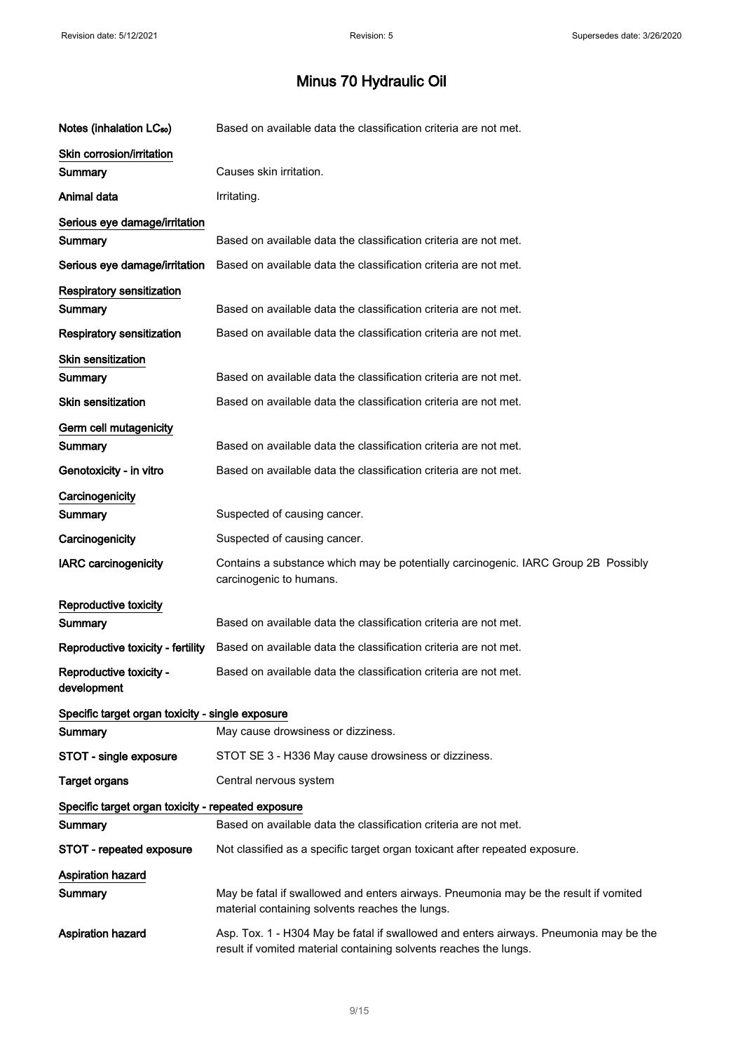$\hat{\mathcal{A}}$ 

| Notes (inhalation LC <sub>50</sub> )               | Based on available data the classification criteria are not met.                                                                                           |
|----------------------------------------------------|------------------------------------------------------------------------------------------------------------------------------------------------------------|
| Skin corrosion/irritation                          |                                                                                                                                                            |
| Summary                                            | Causes skin irritation.                                                                                                                                    |
| Animal data                                        | Irritating.                                                                                                                                                |
| Serious eye damage/irritation                      |                                                                                                                                                            |
| Summary                                            | Based on available data the classification criteria are not met.                                                                                           |
| Serious eye damage/irritation                      | Based on available data the classification criteria are not met.                                                                                           |
| <b>Respiratory sensitization</b>                   |                                                                                                                                                            |
| Summary                                            | Based on available data the classification criteria are not met.                                                                                           |
| <b>Respiratory sensitization</b>                   | Based on available data the classification criteria are not met.                                                                                           |
| <b>Skin sensitization</b>                          |                                                                                                                                                            |
| Summary                                            | Based on available data the classification criteria are not met.                                                                                           |
| <b>Skin sensitization</b>                          | Based on available data the classification criteria are not met.                                                                                           |
| Germ cell mutagenicity                             |                                                                                                                                                            |
| Summary                                            | Based on available data the classification criteria are not met.                                                                                           |
| Genotoxicity - in vitro                            | Based on available data the classification criteria are not met.                                                                                           |
| Carcinogenicity                                    |                                                                                                                                                            |
| Summary                                            | Suspected of causing cancer.                                                                                                                               |
| Carcinogenicity                                    | Suspected of causing cancer.                                                                                                                               |
| <b>IARC</b> carcinogenicity                        | Contains a substance which may be potentially carcinogenic. IARC Group 2B Possibly<br>carcinogenic to humans.                                              |
| Reproductive toxicity                              |                                                                                                                                                            |
| Summary                                            | Based on available data the classification criteria are not met.                                                                                           |
| Reproductive toxicity - fertility                  | Based on available data the classification criteria are not met.                                                                                           |
| Reproductive toxicity -<br>development             | Based on available data the classification criteria are not met.                                                                                           |
| Specific target organ toxicity - single exposure   |                                                                                                                                                            |
| Summary                                            | May cause drowsiness or dizziness.                                                                                                                         |
| STOT - single exposure                             | STOT SE 3 - H336 May cause drowsiness or dizziness.                                                                                                        |
| <b>Target organs</b>                               | Central nervous system                                                                                                                                     |
| Specific target organ toxicity - repeated exposure |                                                                                                                                                            |
| Summary                                            | Based on available data the classification criteria are not met.                                                                                           |
| STOT - repeated exposure                           | Not classified as a specific target organ toxicant after repeated exposure.                                                                                |
| <b>Aspiration hazard</b><br>Summary                | May be fatal if swallowed and enters airways. Pneumonia may be the result if vomited<br>material containing solvents reaches the lungs.                    |
| <b>Aspiration hazard</b>                           | Asp. Tox. 1 - H304 May be fatal if swallowed and enters airways. Pneumonia may be the<br>result if vomited material containing solvents reaches the lungs. |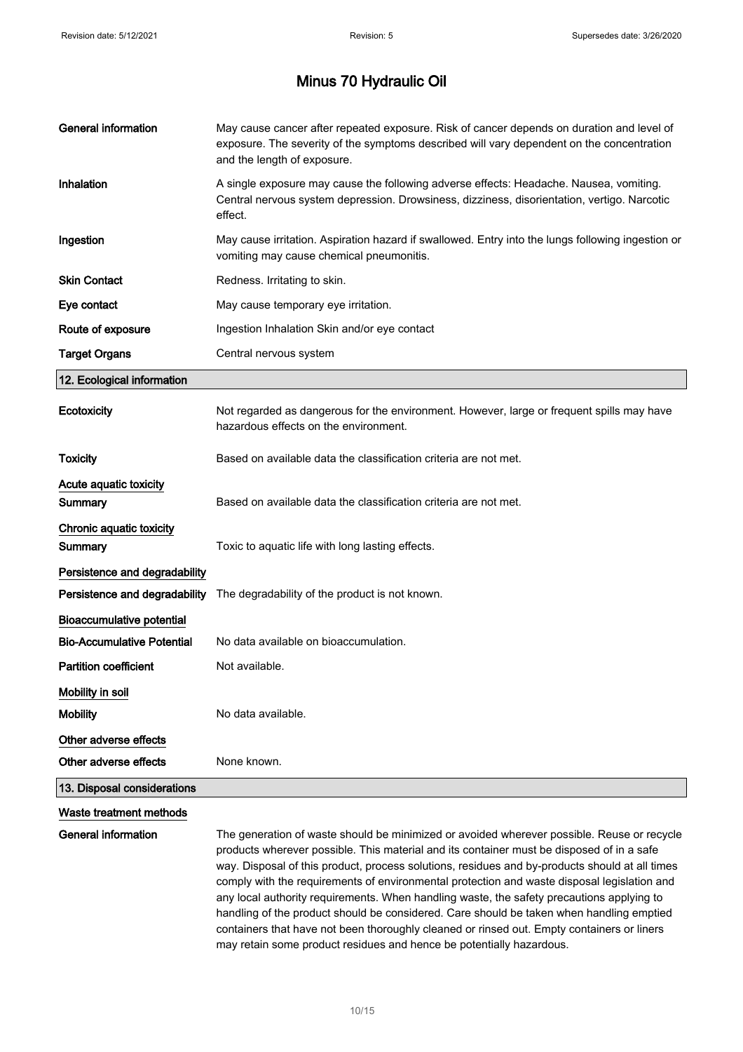| <b>General information</b>                 | May cause cancer after repeated exposure. Risk of cancer depends on duration and level of<br>exposure. The severity of the symptoms described will vary dependent on the concentration<br>and the length of exposure.                                                                                                                                                                                                                                                                 |
|--------------------------------------------|---------------------------------------------------------------------------------------------------------------------------------------------------------------------------------------------------------------------------------------------------------------------------------------------------------------------------------------------------------------------------------------------------------------------------------------------------------------------------------------|
| Inhalation                                 | A single exposure may cause the following adverse effects: Headache. Nausea, vomiting.<br>Central nervous system depression. Drowsiness, dizziness, disorientation, vertigo. Narcotic<br>effect.                                                                                                                                                                                                                                                                                      |
| Ingestion                                  | May cause irritation. Aspiration hazard if swallowed. Entry into the lungs following ingestion or<br>vomiting may cause chemical pneumonitis.                                                                                                                                                                                                                                                                                                                                         |
| <b>Skin Contact</b>                        | Redness. Irritating to skin.                                                                                                                                                                                                                                                                                                                                                                                                                                                          |
| Eye contact                                | May cause temporary eye irritation.                                                                                                                                                                                                                                                                                                                                                                                                                                                   |
| Route of exposure                          | Ingestion Inhalation Skin and/or eye contact                                                                                                                                                                                                                                                                                                                                                                                                                                          |
| <b>Target Organs</b>                       | Central nervous system                                                                                                                                                                                                                                                                                                                                                                                                                                                                |
| 12. Ecological information                 |                                                                                                                                                                                                                                                                                                                                                                                                                                                                                       |
| <b>Ecotoxicity</b>                         | Not regarded as dangerous for the environment. However, large or frequent spills may have<br>hazardous effects on the environment.                                                                                                                                                                                                                                                                                                                                                    |
| <b>Toxicity</b>                            | Based on available data the classification criteria are not met.                                                                                                                                                                                                                                                                                                                                                                                                                      |
| Acute aquatic toxicity                     |                                                                                                                                                                                                                                                                                                                                                                                                                                                                                       |
| Summary                                    | Based on available data the classification criteria are not met.                                                                                                                                                                                                                                                                                                                                                                                                                      |
| Chronic aquatic toxicity<br><b>Summary</b> | Toxic to aquatic life with long lasting effects.                                                                                                                                                                                                                                                                                                                                                                                                                                      |
| Persistence and degradability              |                                                                                                                                                                                                                                                                                                                                                                                                                                                                                       |
| Persistence and degradability              | The degradability of the product is not known.                                                                                                                                                                                                                                                                                                                                                                                                                                        |
| <b>Bioaccumulative potential</b>           |                                                                                                                                                                                                                                                                                                                                                                                                                                                                                       |
| <b>Bio-Accumulative Potential</b>          | No data available on bioaccumulation.                                                                                                                                                                                                                                                                                                                                                                                                                                                 |
| <b>Partition coefficient</b>               | Not available.                                                                                                                                                                                                                                                                                                                                                                                                                                                                        |
| Mobility in soil                           |                                                                                                                                                                                                                                                                                                                                                                                                                                                                                       |
| <b>Mobility</b>                            | No data available.                                                                                                                                                                                                                                                                                                                                                                                                                                                                    |
| Other adverse effects                      |                                                                                                                                                                                                                                                                                                                                                                                                                                                                                       |
| Other adverse effects                      | None known.                                                                                                                                                                                                                                                                                                                                                                                                                                                                           |
| 13. Disposal considerations                |                                                                                                                                                                                                                                                                                                                                                                                                                                                                                       |
| Waste treatment methods                    |                                                                                                                                                                                                                                                                                                                                                                                                                                                                                       |
| General information                        | The generation of waste should be minimized or avoided wherever possible. Reuse or recycle<br>products wherever possible. This material and its container must be disposed of in a safe<br>way. Disposal of this product, process solutions, residues and by-products should at all times<br>comply with the requirements of environmental protection and waste disposal legislation and<br>any local authority requirements. When handling waste, the safety precautions applying to |

may retain some product residues and hence be potentially hazardous.

handling of the product should be considered. Care should be taken when handling emptied containers that have not been thoroughly cleaned or rinsed out. Empty containers or liners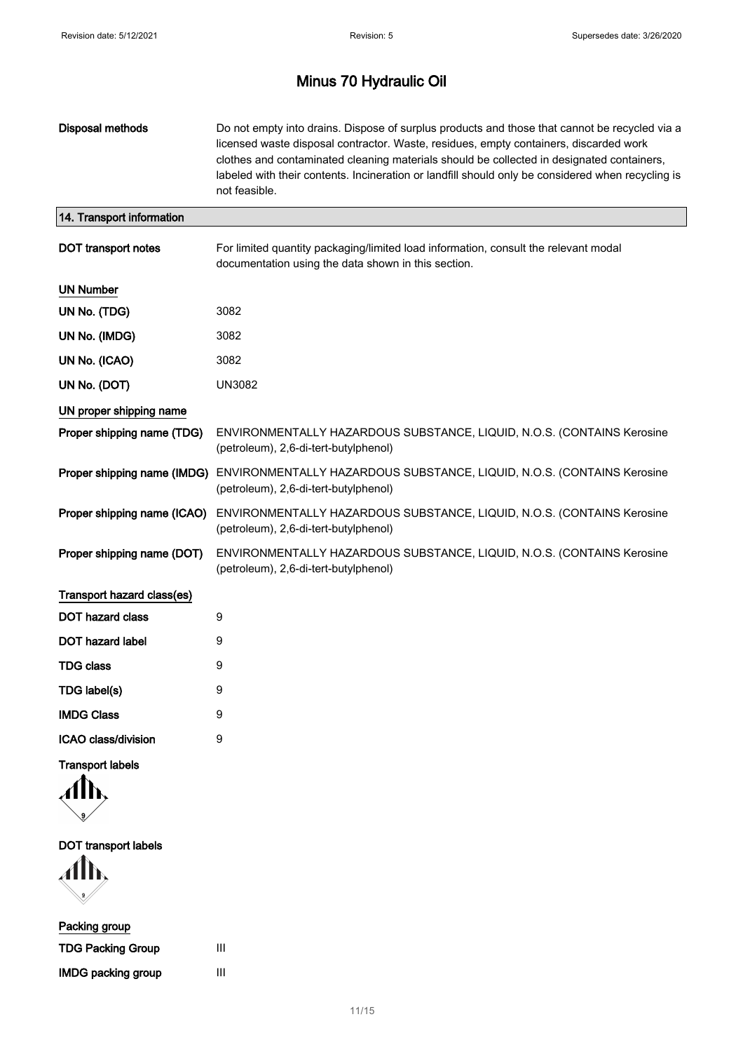| Disposal methods            | Do not empty into drains. Dispose of surplus products and those that cannot be recycled via a<br>licensed waste disposal contractor. Waste, residues, empty containers, discarded work<br>clothes and contaminated cleaning materials should be collected in designated containers,<br>labeled with their contents. Incineration or landfill should only be considered when recycling is<br>not feasible. |
|-----------------------------|-----------------------------------------------------------------------------------------------------------------------------------------------------------------------------------------------------------------------------------------------------------------------------------------------------------------------------------------------------------------------------------------------------------|
| 14. Transport information   |                                                                                                                                                                                                                                                                                                                                                                                                           |
| <b>DOT</b> transport notes  | For limited quantity packaging/limited load information, consult the relevant modal<br>documentation using the data shown in this section.                                                                                                                                                                                                                                                                |
| <b>UN Number</b>            |                                                                                                                                                                                                                                                                                                                                                                                                           |
| UN No. (TDG)                | 3082                                                                                                                                                                                                                                                                                                                                                                                                      |
| UN No. (IMDG)               | 3082                                                                                                                                                                                                                                                                                                                                                                                                      |
| UN No. (ICAO)               | 3082                                                                                                                                                                                                                                                                                                                                                                                                      |
| UN No. (DOT)                | <b>UN3082</b>                                                                                                                                                                                                                                                                                                                                                                                             |
| UN proper shipping name     |                                                                                                                                                                                                                                                                                                                                                                                                           |
| Proper shipping name (TDG)  | ENVIRONMENTALLY HAZARDOUS SUBSTANCE, LIQUID, N.O.S. (CONTAINS Kerosine<br>(petroleum), 2,6-di-tert-butylphenol)                                                                                                                                                                                                                                                                                           |
| Proper shipping name (IMDG) | ENVIRONMENTALLY HAZARDOUS SUBSTANCE, LIQUID, N.O.S. (CONTAINS Kerosine<br>(petroleum), 2,6-di-tert-butylphenol)                                                                                                                                                                                                                                                                                           |
| Proper shipping name (ICAO) | ENVIRONMENTALLY HAZARDOUS SUBSTANCE, LIQUID, N.O.S. (CONTAINS Kerosine<br>(petroleum), 2,6-di-tert-butylphenol)                                                                                                                                                                                                                                                                                           |
| Proper shipping name (DOT)  | ENVIRONMENTALLY HAZARDOUS SUBSTANCE, LIQUID, N.O.S. (CONTAINS Kerosine<br>(petroleum), 2,6-di-tert-butylphenol)                                                                                                                                                                                                                                                                                           |
| Transport hazard class(es)  |                                                                                                                                                                                                                                                                                                                                                                                                           |
| <b>DOT hazard class</b>     | 9                                                                                                                                                                                                                                                                                                                                                                                                         |
| DOT hazard label            | 9                                                                                                                                                                                                                                                                                                                                                                                                         |
| <b>TDG class</b>            | 9                                                                                                                                                                                                                                                                                                                                                                                                         |
| TDG label(s)                | 9                                                                                                                                                                                                                                                                                                                                                                                                         |
| <b>IMDG Class</b>           | 9                                                                                                                                                                                                                                                                                                                                                                                                         |
| ICAO class/division         | 9                                                                                                                                                                                                                                                                                                                                                                                                         |
| <b>Transport labels</b>     |                                                                                                                                                                                                                                                                                                                                                                                                           |

DOT transport labels

 $\mathbf{M}$ --.<br>V

| Packing group             |   |
|---------------------------|---|
| <b>TDG Packing Group</b>  | Ш |
| <b>IMDG packing group</b> | Ш |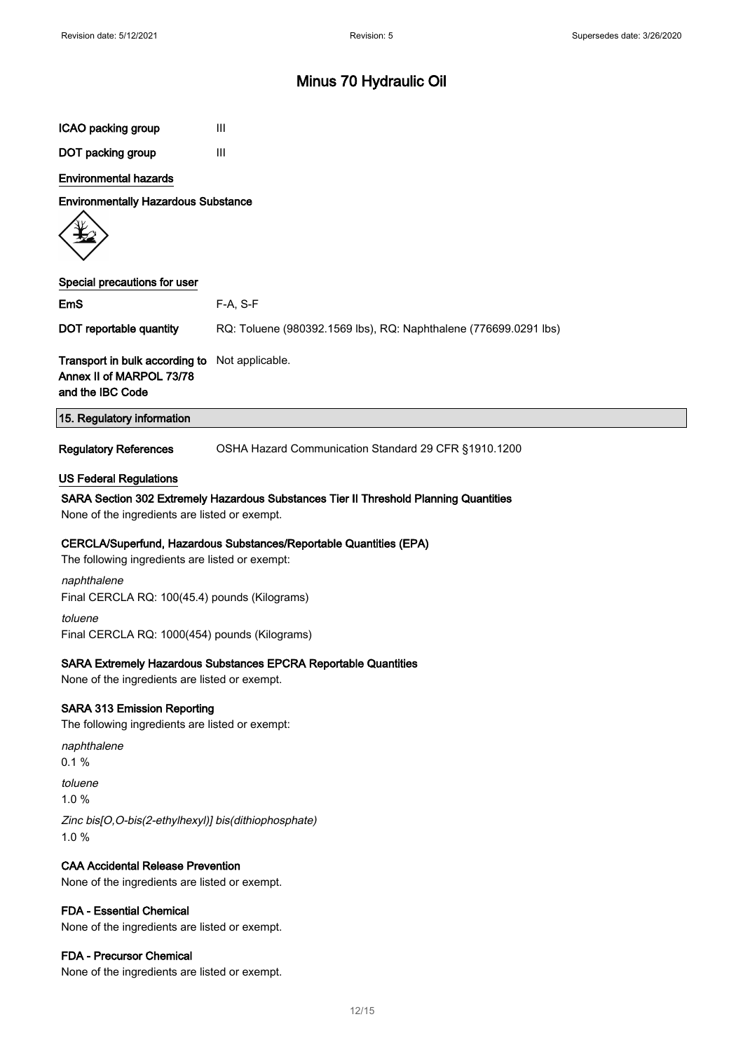| ICAO packing group                                                                        | Ш                                                                                     |
|-------------------------------------------------------------------------------------------|---------------------------------------------------------------------------------------|
| DOT packing group                                                                         | Ш                                                                                     |
| <b>Environmental hazards</b>                                                              |                                                                                       |
| <b>Environmentally Hazardous Substance</b>                                                |                                                                                       |
|                                                                                           |                                                                                       |
| Special precautions for user                                                              |                                                                                       |
| EmS                                                                                       | $F-A, S-F$                                                                            |
| DOT reportable quantity                                                                   | RQ: Toluene (980392.1569 lbs), RQ: Naphthalene (776699.0291 lbs)                      |
| Transport in bulk according to<br>Annex II of MARPOL 73/78<br>and the IBC Code            | Not applicable.                                                                       |
| 15. Regulatory information                                                                |                                                                                       |
| <b>Regulatory References</b>                                                              | OSHA Hazard Communication Standard 29 CFR §1910.1200                                  |
| None of the ingredients are listed or exempt.                                             | SARA Section 302 Extremely Hazardous Substances Tier II Threshold Planning Quantities |
| The following ingredients are listed or exempt:                                           | CERCLA/Superfund, Hazardous Substances/Reportable Quantities (EPA)                    |
| naphthalene<br>Final CERCLA RQ: 100(45.4) pounds (Kilograms)                              |                                                                                       |
| toluene<br>Final CERCLA RQ: 1000(454) pounds (Kilograms)                                  |                                                                                       |
| None of the ingredients are listed or exempt.                                             | SARA Extremely Hazardous Substances EPCRA Reportable Quantities                       |
| <b>SARA 313 Emission Reporting</b><br>The following ingredients are listed or exempt:     |                                                                                       |
| naphthalene<br>0.1%                                                                       |                                                                                       |
| toluene<br>1.0%                                                                           |                                                                                       |
| Zinc bis[O,O-bis(2-ethylhexyl)] bis(dithiophosphate)<br>1.0%                              |                                                                                       |
| <b>CAA Accidental Release Prevention</b><br>None of the ingredients are listed or exempt. |                                                                                       |
| <b>FDA - Essential Chemical</b><br>None of the ingredients are listed or exempt.          |                                                                                       |
| FDA - Precursor Chemical                                                                  |                                                                                       |

None of the ingredients are listed or exempt.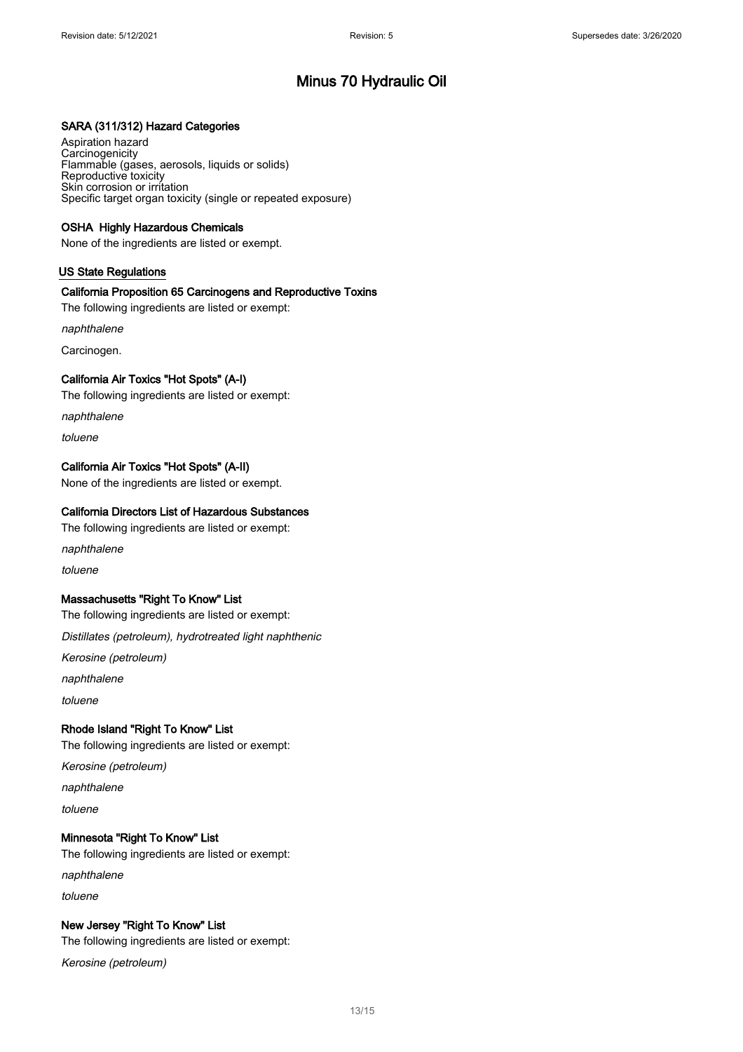### SARA (311/312) Hazard Categories

Aspiration hazard **Carcinogenicity** Flammable (gases, aerosols, liquids or solids) Reproductive toxicity Skin corrosion or irritation Specific target organ toxicity (single or repeated exposure)

### OSHA Highly Hazardous Chemicals

None of the ingredients are listed or exempt.

### US State Regulations

### California Proposition 65 Carcinogens and Reproductive Toxins

The following ingredients are listed or exempt:

naphthalene

Carcinogen.

### California Air Toxics "Hot Spots" (A-I)

The following ingredients are listed or exempt:

naphthalene

toluene

### California Air Toxics "Hot Spots" (A-II)

None of the ingredients are listed or exempt.

### California Directors List of Hazardous Substances

The following ingredients are listed or exempt:

naphthalene

toluene

### Massachusetts "Right To Know" List

The following ingredients are listed or exempt:

Distillates (petroleum), hydrotreated light naphthenic

Kerosine (petroleum)

naphthalene

toluene

### Rhode Island "Right To Know" List

The following ingredients are listed or exempt:

Kerosine (petroleum)

naphthalene

toluene

### Minnesota "Right To Know" List

The following ingredients are listed or exempt:

naphthalene

toluene

### New Jersey "Right To Know" List

The following ingredients are listed or exempt:

Kerosine (petroleum)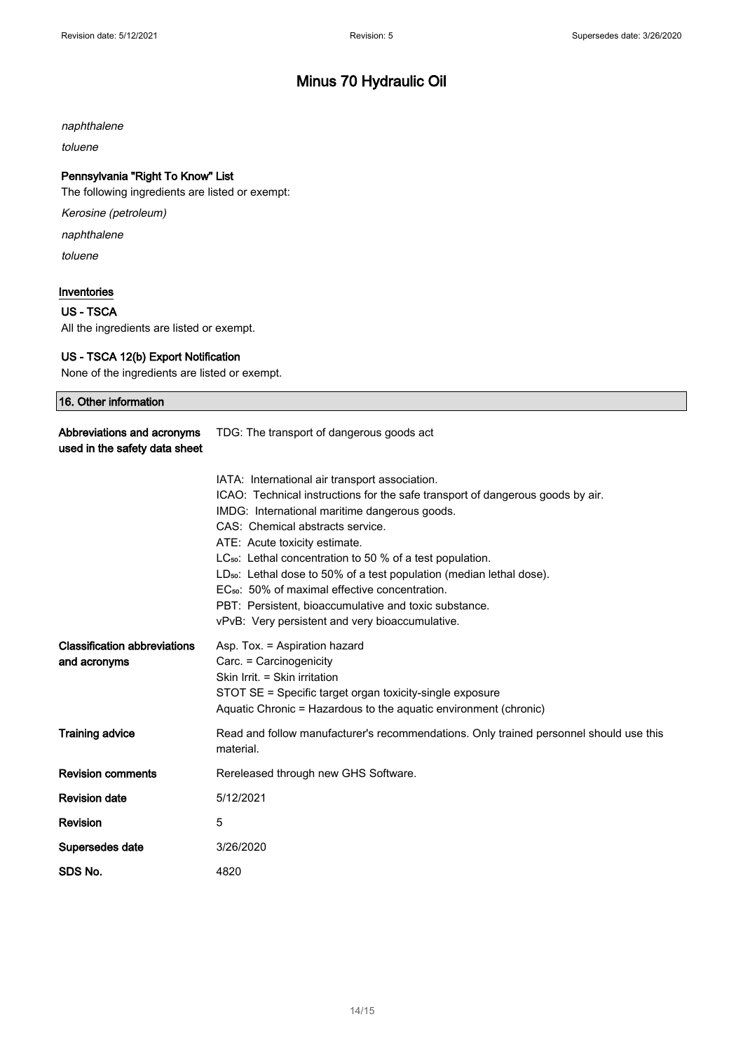naphthalene

toluene

### Pennsylvania "Right To Know" List

The following ingredients are listed or exempt:

Kerosine (petroleum)

naphthalene

toluene

### Inventories

### US - TSCA

All the ingredients are listed or exempt.

### US - TSCA 12(b) Export Notification

None of the ingredients are listed or exempt.

| 16. Other information                                       |                                                                                  |
|-------------------------------------------------------------|----------------------------------------------------------------------------------|
| Abbreviations and acronyms<br>used in the safety data sheet | TDG: The transport of dangerous goods act                                        |
|                                                             | IATA: International air transport association.                                   |
|                                                             | ICAO: Technical instructions for the safe transport of dangerous goods by air.   |
|                                                             | IMDG: International maritime dangerous goods.                                    |
|                                                             | CAS: Chemical abstracts service.                                                 |
|                                                             | ATE: Acute toxicity estimate.                                                    |
|                                                             | $LC_{50}$ : Lethal concentration to 50 % of a test population.                   |
|                                                             | LD <sub>50</sub> : Lethal dose to 50% of a test population (median lethal dose). |
|                                                             | EC <sub>50</sub> : 50% of maximal effective concentration.                       |
|                                                             | PBT: Persistent, bioaccumulative and toxic substance.                            |
|                                                             | vPvB: Very persistent and very bioaccumulative.                                  |
| Clocoification abbroviatione                                | Acn Toy - Acnimian hozard                                                        |

| <b>Classification abbreviations</b><br>and acronyms | Asp. Tox. = Aspiration hazard<br>Carc. = Carcinogenicity<br>Skin Irrit. = Skin irritation<br>STOT SE = Specific target organ toxicity-single exposure<br>Aquatic Chronic = Hazardous to the aquatic environment (chronic) |
|-----------------------------------------------------|---------------------------------------------------------------------------------------------------------------------------------------------------------------------------------------------------------------------------|
| <b>Training advice</b>                              | Read and follow manufacturer's recommendations. Only trained personnel should use this<br>material.                                                                                                                       |
| <b>Revision comments</b>                            | Rereleased through new GHS Software.                                                                                                                                                                                      |
| <b>Revision date</b>                                | 5/12/2021                                                                                                                                                                                                                 |
| Revision                                            | 5                                                                                                                                                                                                                         |
| Supersedes date                                     | 3/26/2020                                                                                                                                                                                                                 |
| SDS No.                                             | 4820                                                                                                                                                                                                                      |